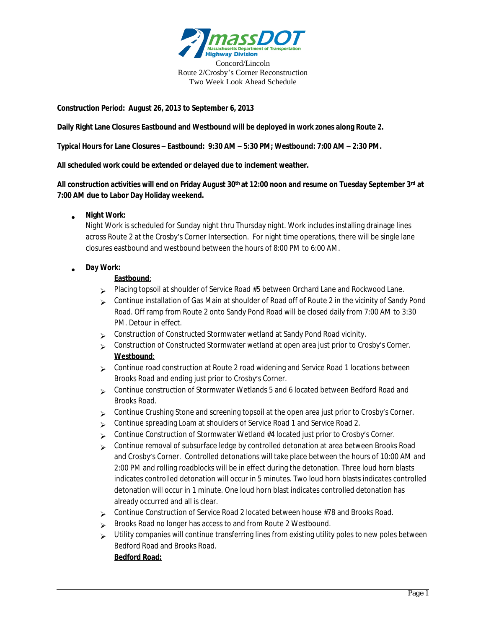

**Construction Period: August 26, 2013 to September 6, 2013**

**Daily Right Lane Closures Eastbound and Westbound will be deployed in work zones along Route 2.**

**Typical Hours for Lane Closures – Eastbound: 9:30 AM – 5:30 PM; Westbound: 7:00 AM – 2:30 PM.**

**All scheduled work could be extended or delayed due to inclement weather.**

**All construction activities will end on Friday August 30th at 12:00 noon and resume on Tuesday September 3rd at 7:00 AM due to Labor Day Holiday weekend.**

## **Night Work:**

Night Work is scheduled for Sunday night thru Thursday night. Work includes installing drainage lines across Route 2 at the Crosby's Corner Intersection. For night time operations, there will be single lane closures eastbound and westbound between the hours of 8:00 PM to 6:00 AM.

## **Day Work:**

## **Eastbound**:

- Placing topsoil at shoulder of Service Road #5 between Orchard Lane and Rockwood Lane.
- Continue installation of Gas Main at shoulder of Road off of Route 2 in the vicinity of Sandy Pond Road. Off ramp from Route 2 onto Sandy Pond Road will be closed daily from 7:00 AM to 3:30 PM. Detour in effect.
- $\sim$  Construction of Constructed Stormwater wetland at Sandy Pond Road vicinity.
- Construction of Constructed Stormwater wetland at open area just prior to Crosby's Corner. **Westbound**:
- Continue road construction at Route 2 road widening and Service Road 1 locations between Brooks Road and ending just prior to Crosby's Corner.
- Continue construction of Stormwater Wetlands 5 and 6 located between Bedford Road and Brooks Road.
- Continue Crushing Stone and screening topsoil at the open area just prior to Crosby's Corner.
- Continue spreading Loam at shoulders of Service Road 1 and Service Road 2.
- $\triangleright$  Continue Construction of Stormwater Wetland #4 located just prior to Crosby's Corner.
- Continue removal of subsurface ledge by controlled detonation at area between Brooks Road and Crosby's Corner. Controlled detonations will take place between the hours of 10:00 AM and 2:00 PM and rolling roadblocks will be in effect during the detonation. Three loud horn blasts indicates controlled detonation will occur in 5 minutes. Two loud horn blasts indicates controlled detonation will occur in 1 minute. One loud horn blast indicates controlled detonation has already occurred and all is clear.
- $\sim$  Continue Construction of Service Road 2 located between house #78 and Brooks Road.
- Brooks Road no longer has access to and from Route 2 Westbound.
- $\triangleright$  Utility companies will continue transferring lines from existing utility poles to new poles between Bedford Road and Brooks Road. **Bedford Road:**